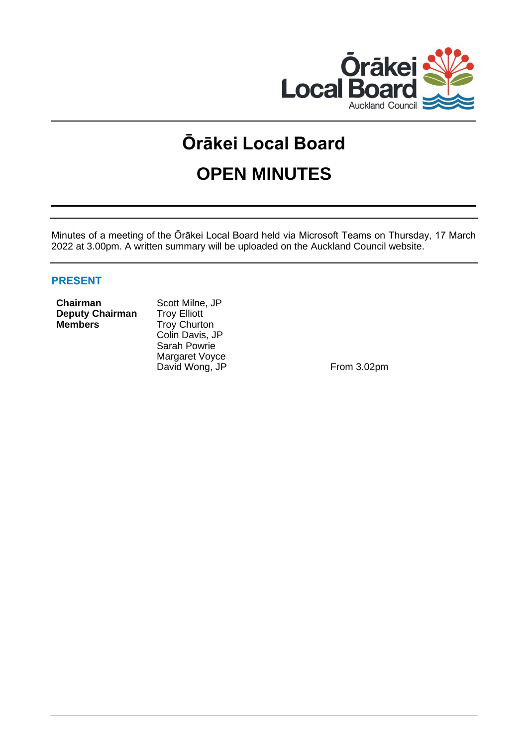

# **Ōrākei Local Board OPEN MINUTES**

Minutes of a meeting of the Ōrākei Local Board held via Microsoft Teams on Thursday, 17 March 2022 at 3.00pm. A written summary will be uploaded on the Auckland Council website.

# **PRESENT**

| <b>Chairman</b> |                        |
|-----------------|------------------------|
|                 | <b>Deputy Chairman</b> |
| <b>Members</b>  |                        |

Scott Milne, JP **Depty** Troy Elliott **Members** Troy Churton Colin Davis, JP Sarah Powrie Margaret Voyce David Wong, JP From 3.02pm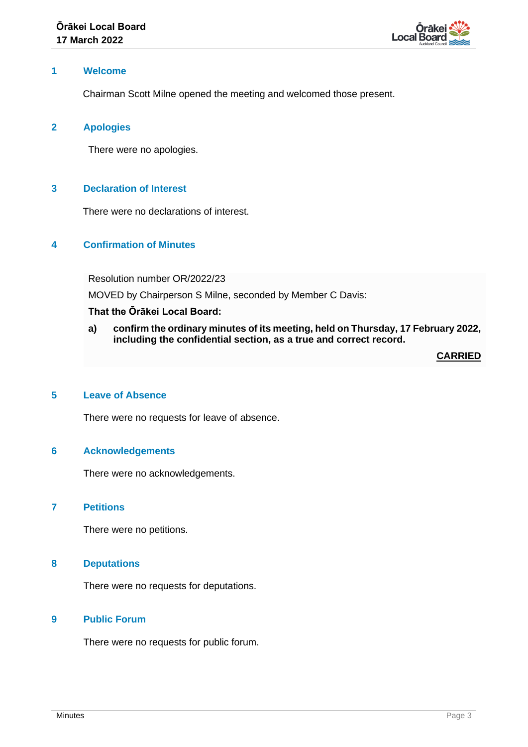

# **1 Welcome**

Chairman Scott Milne opened the meeting and welcomed those present.

## **2 Apologies**

There were no apologies.

# **3 Declaration of Interest**

There were no declarations of interest.

# **4 Confirmation of Minutes**

Resolution number OR/2022/23

MOVED by Chairperson S Milne, seconded by Member C Davis:

#### **That the Ōrākei Local Board:**

**a) confirm the ordinary minutes of its meeting, held on Thursday, 17 February 2022, including the confidential section, as a true and correct record.**

**CARRIED**

# **5 Leave of Absence**

There were no requests for leave of absence.

## **6 Acknowledgements**

There were no acknowledgements.

## **7 Petitions**

There were no petitions.

## **8 Deputations**

There were no requests for deputations.

# **9 Public Forum**

There were no requests for public forum.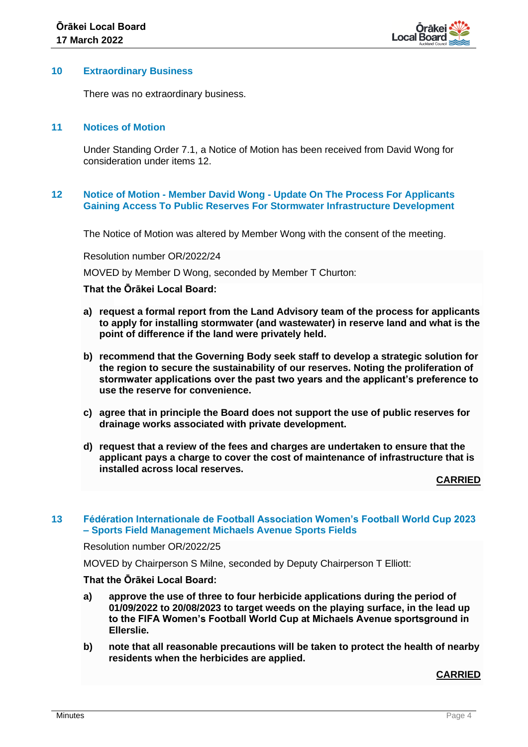

#### **10 Extraordinary Business**

There was no extraordinary business.

## **11 Notices of Motion**

Under Standing Order 7.1, a Notice of Motion has been received from David Wong for consideration under items 12.

## **12 Notice of Motion - Member David Wong - Update On The Process For Applicants Gaining Access To Public Reserves For Stormwater Infrastructure Development**

The Notice of Motion was altered by Member Wong with the consent of the meeting.

Resolution number OR/2022/24

MOVED by Member D Wong, seconded by Member T Churton:

#### **That the Ōrākei Local Board:**

- **a) request a formal report from the Land Advisory team of the process for applicants to apply for installing stormwater (and wastewater) in reserve land and what is the point of difference if the land were privately held.**
- **b) recommend that the Governing Body seek staff to develop a strategic solution for the region to secure the sustainability of our reserves. Noting the proliferation of stormwater applications over the past two years and the applicant's preference to use the reserve for convenience.**
- **c) agree that in principle the Board does not support the use of public reserves for drainage works associated with private development.**
- **d) request that a review of the fees and charges are undertaken to ensure that the applicant pays a charge to cover the cost of maintenance of infrastructure that is installed across local reserves.**

**CARRIED**

## **13 Fédération Internationale de Football Association Women's Football World Cup 2023 – Sports Field Management Michaels Avenue Sports Fields**

Resolution number OR/2022/25

MOVED by Chairperson S Milne, seconded by Deputy Chairperson T Elliott:

# **That the Ōrākei Local Board:**

- **a) approve the use of three to four herbicide applications during the period of 01/09/2022 to 20/08/2023 to target weeds on the playing surface, in the lead up to the FIFA Women's Football World Cup at Michaels Avenue sportsground in Ellerslie.**
- **b) note that all reasonable precautions will be taken to protect the health of nearby residents when the herbicides are applied.**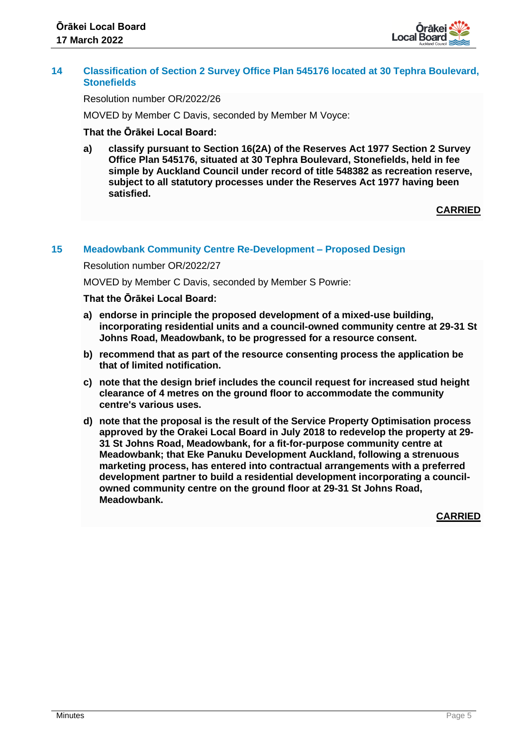

# **14 Classification of Section 2 Survey Office Plan 545176 located at 30 Tephra Boulevard, Stonefields**

Resolution number OR/2022/26

MOVED by Member C Davis, seconded by Member M Voyce:

# **That the Ōrākei Local Board:**

**a) classify pursuant to Section 16(2A) of the Reserves Act 1977 Section 2 Survey Office Plan 545176, situated at 30 Tephra Boulevard, Stonefields, held in fee simple by Auckland Council under record of title 548382 as recreation reserve, subject to all statutory processes under the Reserves Act 1977 having been satisfied.**

**CARRIED**

## **15 Meadowbank Community Centre Re-Development – Proposed Design**

Resolution number OR/2022/27

MOVED by Member C Davis, seconded by Member S Powrie:

## **That the Ōrākei Local Board:**

- **a) endorse in principle the proposed development of a mixed-use building, incorporating residential units and a council-owned community centre at 29-31 St Johns Road, Meadowbank, to be progressed for a resource consent.**
- **b) recommend that as part of the resource consenting process the application be that of limited notification.**
- **c) note that the design brief includes the council request for increased stud height clearance of 4 metres on the ground floor to accommodate the community centre's various uses.**
- **d) note that the proposal is the result of the Service Property Optimisation process approved by the Orakei Local Board in July 2018 to redevelop the property at 29- 31 St Johns Road, Meadowbank, for a fit-for-purpose community centre at Meadowbank; that Eke Panuku Development Auckland, following a strenuous marketing process, has entered into contractual arrangements with a preferred development partner to build a residential development incorporating a councilowned community centre on the ground floor at 29-31 St Johns Road, Meadowbank.**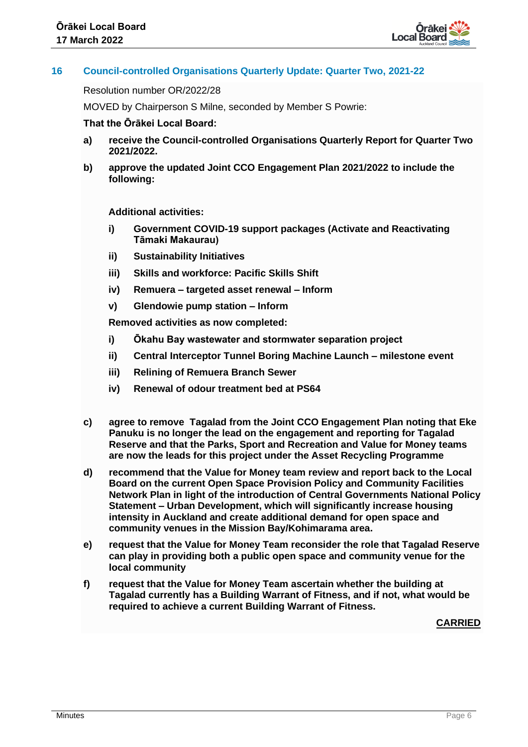

# **16 Council-controlled Organisations Quarterly Update: Quarter Two, 2021-22**

Resolution number OR/2022/28

MOVED by Chairperson S Milne, seconded by Member S Powrie:

#### **That the Ōrākei Local Board:**

- **a) receive the Council-controlled Organisations Quarterly Report for Quarter Two 2021/2022.**
- **b) approve the updated Joint CCO Engagement Plan 2021/2022 to include the following:**

**Additional activities:**

- **i) Government COVID-19 support packages (Activate and Reactivating Tāmaki Makaurau)**
- **ii) Sustainability Initiatives**
- **iii) Skills and workforce: Pacific Skills Shift**
- **iv) Remuera – targeted asset renewal – Inform**
- **v) Glendowie pump station – Inform**

**Removed activities as now completed:**

- **i) Ōkahu Bay wastewater and stormwater separation project**
- **ii) Central Interceptor Tunnel Boring Machine Launch – milestone event**
- **iii) Relining of Remuera Branch Sewer**
- **iv) Renewal of odour treatment bed at PS64**
- **c) agree to remove Tagalad from the Joint CCO Engagement Plan noting that Eke Panuku is no longer the lead on the engagement and reporting for Tagalad Reserve and that the Parks, Sport and Recreation and Value for Money teams are now the leads for this project under the Asset Recycling Programme**
- **d) recommend that the Value for Money team review and report back to the Local Board on the current Open Space Provision Policy and Community Facilities Network Plan in light of the introduction of Central Governments National Policy Statement – Urban Development, which will significantly increase housing intensity in Auckland and create additional demand for open space and community venues in the Mission Bay/Kohimarama area.**
- **e) request that the Value for Money Team reconsider the role that Tagalad Reserve can play in providing both a public open space and community venue for the local community**
- **f) request that the Value for Money Team ascertain whether the building at Tagalad currently has a Building Warrant of Fitness, and if not, what would be required to achieve a current Building Warrant of Fitness.**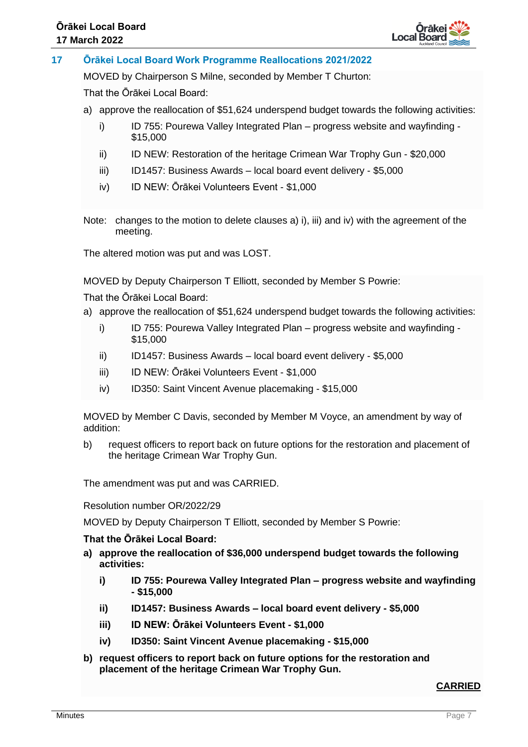

# **17 Ōrākei Local Board Work Programme Reallocations 2021/2022**

MOVED by Chairperson S Milne, seconded by Member T Churton:

That the Ōrākei Local Board:

- a) approve the reallocation of \$51,624 underspend budget towards the following activities:
	- i) ID 755: Pourewa Valley Integrated Plan progress website and wayfinding -\$15,000
	- ii) ID NEW: Restoration of the heritage Crimean War Trophy Gun \$20,000
	- iii) ID1457: Business Awards local board event delivery \$5,000
	- iv) ID NEW: Ōrākei Volunteers Event \$1,000
- Note: changes to the motion to delete clauses a) i), iii) and iv) with the agreement of the meeting.

The altered motion was put and was LOST.

MOVED by Deputy Chairperson T Elliott, seconded by Member S Powrie:

That the Ōrākei Local Board:

- a) approve the reallocation of \$51,624 underspend budget towards the following activities:
	- i) ID 755: Pourewa Valley Integrated Plan progress website and wayfinding -\$15,000
	- ii) ID1457: Business Awards local board event delivery \$5,000
	- iii) ID NEW: Ōrākei Volunteers Event \$1,000
	- iv) ID350: Saint Vincent Avenue placemaking \$15,000

MOVED by Member C Davis, seconded by Member M Voyce, an amendment by way of addition:

b) request officers to report back on future options for the restoration and placement of the heritage Crimean War Trophy Gun.

The amendment was put and was CARRIED.

Resolution number OR/2022/29

MOVED by Deputy Chairperson T Elliott, seconded by Member S Powrie:

#### **That the Ōrākei Local Board:**

- **a) approve the reallocation of \$36,000 underspend budget towards the following activities:** 
	- **i) ID 755: Pourewa Valley Integrated Plan – progress website and wayfinding - \$15,000**
	- **ii) ID1457: Business Awards – local board event delivery - \$5,000**
	- **iii) ID NEW: Ōrākei Volunteers Event - \$1,000**
	- **iv) ID350: Saint Vincent Avenue placemaking - \$15,000**
- **b) request officers to report back on future options for the restoration and placement of the heritage Crimean War Trophy Gun.**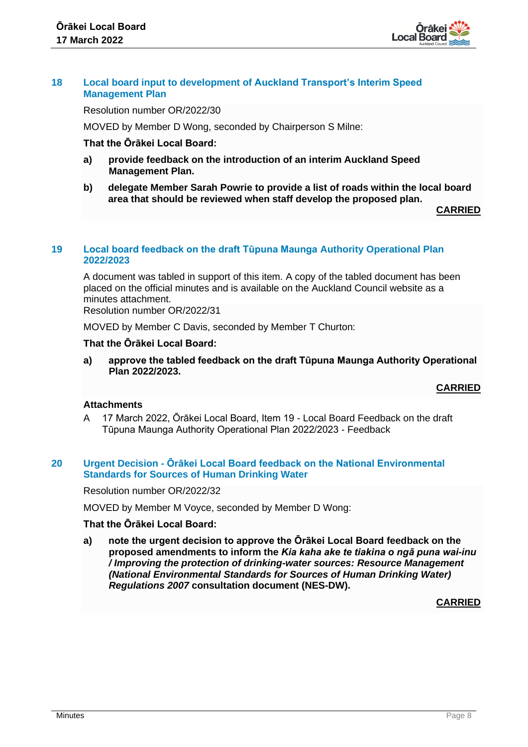

## **18 Local board input to development of Auckland Transport's Interim Speed Management Plan**

Resolution number OR/2022/30

MOVED by Member D Wong, seconded by Chairperson S Milne:

# **That the Ōrākei Local Board:**

- **a) provide feedback on the introduction of an interim Auckland Speed Management Plan.**
- **b) delegate Member Sarah Powrie to provide a list of roads within the local board area that should be reviewed when staff develop the proposed plan.**

**CARRIED**

#### **19 Local board feedback on the draft Tūpuna Maunga Authority Operational Plan 2022/2023**

A document was tabled in support of this item. A copy of the tabled document has been placed on the official minutes and is available on the Auckland Council website as a minutes attachment.

Resolution number OR/2022/31

MOVED by Member C Davis, seconded by Member T Churton:

#### **That the Ōrākei Local Board:**

**a) approve the tabled feedback on the draft Tūpuna Maunga Authority Operational Plan 2022/2023.**

**CARRIED**

# **Attachments**

A 17 March 2022, Ōrākei Local Board, Item 19 - Local Board Feedback on the draft Tūpuna Maunga Authority Operational Plan 2022/2023 - Feedback

## **20 Urgent Decision - Ōrākei Local Board feedback on the National Environmental Standards for Sources of Human Drinking Water**

Resolution number OR/2022/32

MOVED by Member M Voyce, seconded by Member D Wong:

# **That the Ōrākei Local Board:**

**a) note the urgent decision to approve the Ōrākei Local Board feedback on the proposed amendments to inform the** *Kia kaha ake te tiakina o ngā puna wai-inu / Improving the protection of drinking-water sources: Resource Management (National Environmental Standards for Sources of Human Drinking Water) Regulations 2007* **consultation document (NES-DW).**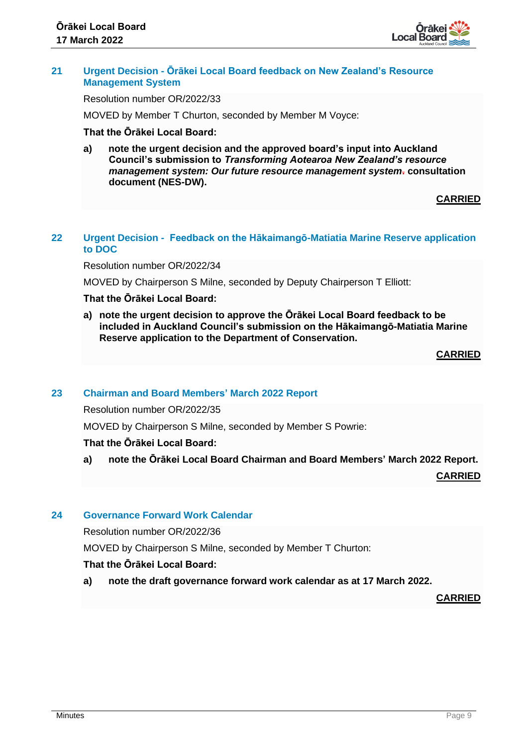

# **21 Urgent Decision - Ōrākei Local Board feedback on New Zealand's Resource Management System**

Resolution number OR/2022/33

MOVED by Member T Churton, seconded by Member M Voyce:

# **That the Ōrākei Local Board:**

**a) note the urgent decision and the approved board's input into Auckland Council's submission to** *Transforming Aotearoa New Zealand's resource management system: Our future resource management system***. consultation document (NES-DW).**

## **CARRIED**

# **22 Urgent Decision - Feedback on the Hākaimangō-Matiatia Marine Reserve application to DOC**

Resolution number OR/2022/34

MOVED by Chairperson S Milne, seconded by Deputy Chairperson T Elliott:

# **That the Ōrākei Local Board:**

**a) note the urgent decision to approve the Ōrākei Local Board feedback to be included in Auckland Council's submission on the Hākaimangō-Matiatia Marine Reserve application to the Department of Conservation.**

**CARRIED**

#### **23 Chairman and Board Members' March 2022 Report**

Resolution number OR/2022/35

MOVED by Chairperson S Milne, seconded by Member S Powrie:

# **That the Ōrākei Local Board:**

**a) note the Ōrākei Local Board Chairman and Board Members' March 2022 Report.**

**CARRIED**

# **24 Governance Forward Work Calendar**

Resolution number OR/2022/36

MOVED by Chairperson S Milne, seconded by Member T Churton:

# **That the Ōrākei Local Board:**

**a) note the draft governance forward work calendar as at 17 March 2022.**